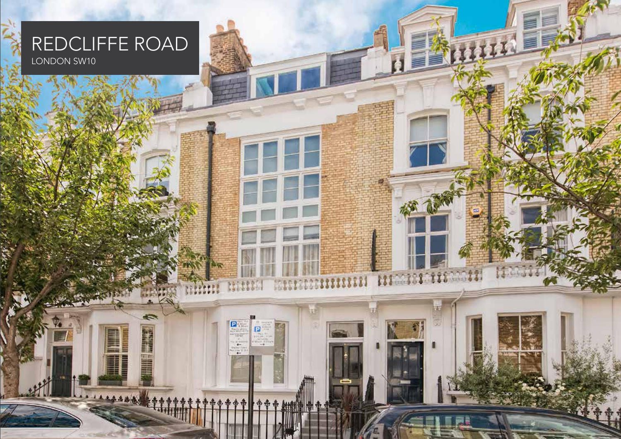

Ą

LONDON SW10

.......

P

÷

P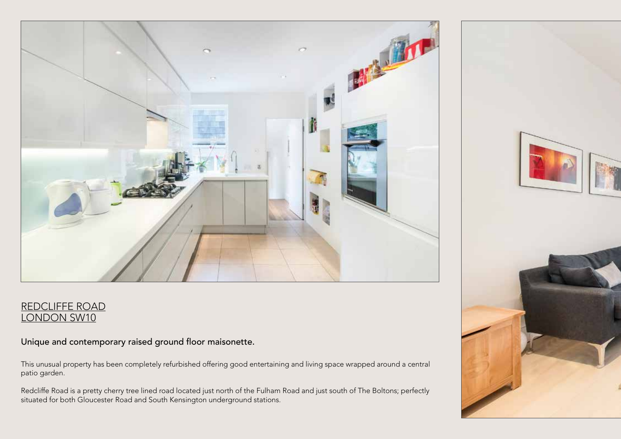

## REDCLIFFE ROAD LONDON SW10

Unique and contemporary raised ground floor maisonette.

This unusual property has been completely refurbished offering good entertaining and living space wrapped around a central patio garden.

Redcliffe Road is a pretty cherry tree lined road located just north of the Fulham Road and just south of The Boltons; perfectly situated for both Gloucester Road and South Kensington underground stations.

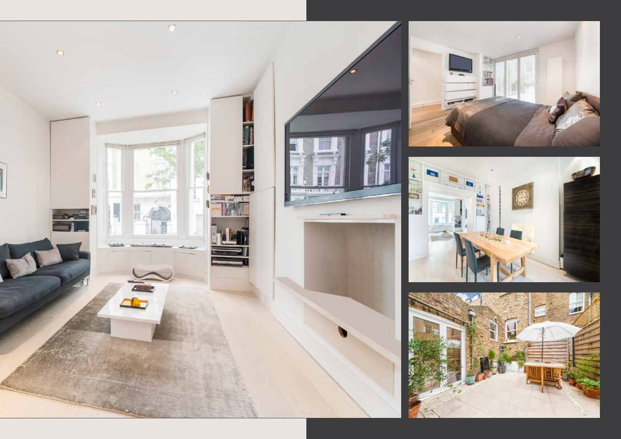